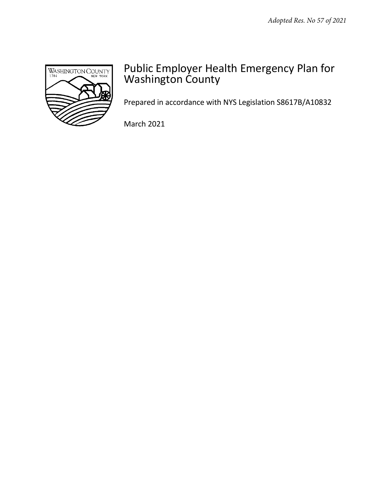

# Public Employer Health Emergency Plan for Washington County

Prepared in accordance with NYS Legislation S8617B/A10832

March 2021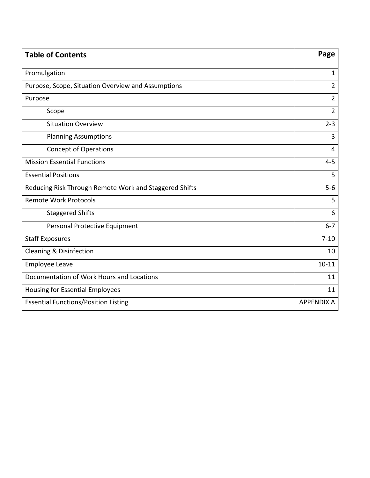| <b>Table of Contents</b>                               | Page              |
|--------------------------------------------------------|-------------------|
| Promulgation                                           | $\mathbf{1}$      |
| Purpose, Scope, Situation Overview and Assumptions     | $\overline{2}$    |
| Purpose                                                | $\overline{2}$    |
| Scope                                                  | $\overline{2}$    |
| <b>Situation Overview</b>                              | $2 - 3$           |
| <b>Planning Assumptions</b>                            | 3                 |
| <b>Concept of Operations</b>                           | $\overline{4}$    |
| <b>Mission Essential Functions</b>                     | $4 - 5$           |
| <b>Essential Positions</b>                             | 5                 |
| Reducing Risk Through Remote Work and Staggered Shifts | $5-6$             |
| <b>Remote Work Protocols</b>                           | 5                 |
| <b>Staggered Shifts</b>                                | 6                 |
| Personal Protective Equipment                          | $6 - 7$           |
| <b>Staff Exposures</b>                                 | $7 - 10$          |
| Cleaning & Disinfection                                | 10                |
| <b>Employee Leave</b>                                  | $10 - 11$         |
| Documentation of Work Hours and Locations              | 11                |
| <b>Housing for Essential Employees</b>                 | 11                |
| <b>Essential Functions/Position Listing</b>            | <b>APPENDIX A</b> |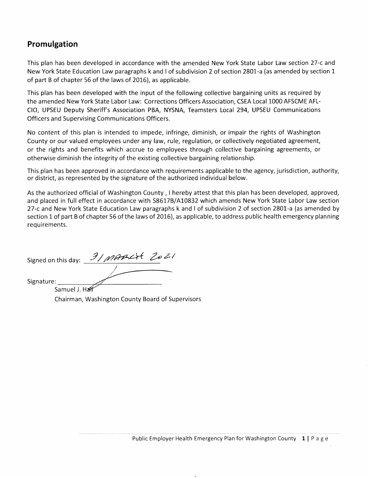# Promulgation

This plan has been developed in accordance with the amended New York State Labor Law section 27-c and New York State Education Law paragraphs k and I of subdivision 2 of section 2801-a (as amended by section 1 of part B of chapter 56 of the laws of 2016), as applicable.

This plan has been developed with the input of the following collective bargaining units as required by the amended New York State Labor Law: Corrections Officers Association, CSEA Local 1000 AFSCME AFL-CIO, UPSEU Deputy Sheriff's Association PBA, NYSNA, Teamsters Local 294, UPSEU Communications Officers and Supervising Communications Officers.

No content of this plan is intended to impede, infringe, diminish, or impair the rights of Washington County or our valued employees under any law, rule, regulation, or collectively negotiated agreement, or the rights and benefits which accrue to employees through collective bargaining agreements, or otherwise diminish the integrity of the existing collective bargaining relationship.

This plan has been approved in accordance with requirements applicable to the agency, jurisdiction, authority, or district, as represented by the signature of the authorized individual below.

As the authorized official of Washington County, I hereby attest that this plan has been developed, approved, and placed in full effect in accordance with S8617B/A10832 which amends New York State Labor Law section 27-c and New York State Education Law paragraphs k and I of subdivision 2 of section 2801-a (as amended by section 1 of part B of chapter 56 of the laws of 2016), as applicable, to address public health emergency planning requirements.

Signature:

Samuel J. Ha Chairman, Washington County Board of Supervisors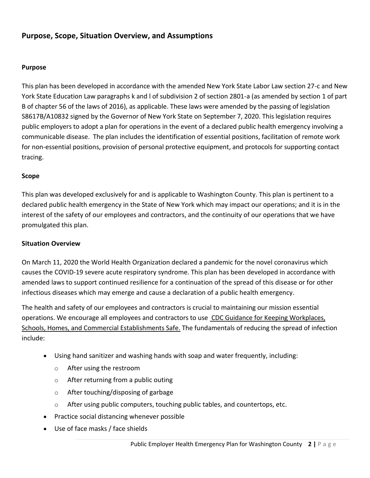# **Purpose, Scope, Situation Overview, and Assumptions**

#### **Purpose**

This plan has been developed in accordance with the amended New York State Labor Law section 27-c and New York State Education Law paragraphs k and l of subdivision 2 of section 2801-a (as amended by section 1 of part B of chapter 56 of the laws of 2016), as applicable. These laws were amended by the passing of legislation S8617B/A10832 signed by the Governor of New York State on September 7, 2020. This legislation requires public employers to adopt a plan for operations in the event of a declared public health emergency involving a communicable disease. The plan includes the identification of essential positions, facilitation of remote work for non-essential positions, provision of personal protective equipment, and protocols for supporting contact tracing.

#### **Scope**

This plan was developed exclusively for and is applicable to Washington County. This plan is pertinent to a declared public health emergency in the State of New York which may impact our operations; and it is in the interest of the safety of our employees and contractors, and the continuity of our operations that we have promulgated this plan.

#### **Situation Overview**

On March 11, 2020 the World Health Organization declared a pandemic for the novel coronavirus which causes the COVID-19 severe acute respiratory syndrome. This plan has been developed in accordance with amended laws to support continued resilience for a continuation of the spread of this disease or for other infectious diseases which may emerge and cause a declaration of a public health emergency.

The health and safety of our employees and contractors is crucial to maintaining our mission essential operations. We encourage all employees and contractors to use [CDC Guidance for Keeping Workplaces,](https://www.cdc.gov/coronavirus/2019-ncov/downloads/workplace-school-and-home-guidance.pdf)  [Schools, Homes, and Commercial Establishments Safe.](https://www.cdc.gov/coronavirus/2019-ncov/downloads/workplace-school-and-home-guidance.pdf) The fundamentals of reducing the spread of infection include:

- Using hand sanitizer and washing hands with soap and water frequently, including:
	- o After using the restroom
	- o After returning from a public outing
	- o After touching/disposing of garbage
	- $\circ$  After using public computers, touching public tables, and countertops, etc.
- Practice social distancing whenever possible
- Use of face masks / face shields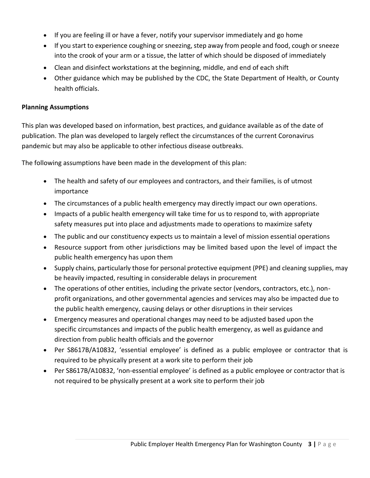- If you are feeling ill or have a fever, notify your supervisor immediately and go home
- If you start to experience coughing or sneezing, step away from people and food, cough or sneeze into the crook of your arm or a tissue, the latter of which should be disposed of immediately
- Clean and disinfect workstations at the beginning, middle, and end of each shift
- Other guidance which may be published by the CDC, the State Department of Health, or County health officials.

### **Planning Assumptions**

This plan was developed based on information, best practices, and guidance available as of the date of publication. The plan was developed to largely reflect the circumstances of the current Coronavirus pandemic but may also be applicable to other infectious disease outbreaks.

The following assumptions have been made in the development of this plan:

- The health and safety of our employees and contractors, and their families, is of utmost importance
- The circumstances of a public health emergency may directly impact our own operations.
- Impacts of a public health emergency will take time for us to respond to, with appropriate safety measures put into place and adjustments made to operations to maximize safety
- The public and our constituency expects us to maintain a level of mission essential operations
- Resource support from other jurisdictions may be limited based upon the level of impact the public health emergency has upon them
- Supply chains, particularly those for personal protective equipment (PPE) and cleaning supplies, may be heavily impacted, resulting in considerable delays in procurement
- The operations of other entities, including the private sector (vendors, contractors, etc.), nonprofit organizations, and other governmental agencies and services may also be impacted due to the public health emergency, causing delays or other disruptions in their services
- Emergency measures and operational changes may need to be adjusted based upon the specific circumstances and impacts of the public health emergency, as well as guidance and direction from public health officials and the governor
- Per S8617B/A10832, 'essential employee' is defined as a public employee or contractor that is required to be physically present at a work site to perform their job
- Per S8617B/A10832, 'non-essential employee' is defined as a public employee or contractor that is not required to be physically present at a work site to perform their job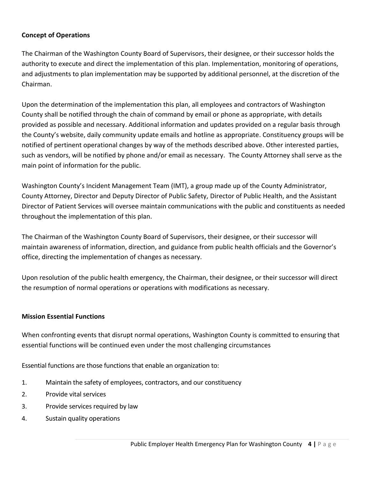## **Concept of Operations**

The Chairman of the Washington County Board of Supervisors, their designee, or their successor holds the authority to execute and direct the implementation of this plan. Implementation, monitoring of operations, and adjustments to plan implementation may be supported by additional personnel, at the discretion of the Chairman.

Upon the determination of the implementation this plan, all employees and contractors of Washington County shall be notified through the chain of command by email or phone as appropriate, with details provided as possible and necessary. Additional information and updates provided on a regular basis through the County's website, daily community update emails and hotline as appropriate. Constituency groups will be notified of pertinent operational changes by way of the methods described above. Other interested parties, such as vendors, will be notified by phone and/or email as necessary. The County Attorney shall serve as the main point of information for the public.

Washington County's Incident Management Team (IMT), a group made up of the County Administrator, County Attorney, Director and Deputy Director of Public Safety, Director of Public Health, and the Assistant Director of Patient Services will oversee maintain communications with the public and constituents as needed throughout the implementation of this plan.

The Chairman of the Washington County Board of Supervisors, their designee, or their successor will maintain awareness of information, direction, and guidance from public health officials and the Governor's office, directing the implementation of changes as necessary.

Upon resolution of the public health emergency, the Chairman, their designee, or their successor will direct the resumption of normal operations or operations with modifications as necessary.

## **Mission Essential Functions**

When confronting events that disrupt normal operations, Washington County is committed to ensuring that essential functions will be continued even under the most challenging circumstances

Essential functions are those functions that enable an organization to:

- 1. Maintain the safety of employees, contractors, and our constituency
- 2. Provide vital services
- 3. Provide services required by law
- 4. Sustain quality operations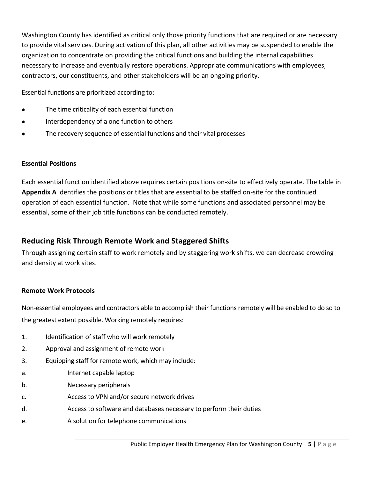Washington County has identified as critical only those priority functions that are required or are necessary to provide vital services. During activation of this plan, all other activities may be suspended to enable the organization to concentrate on providing the critical functions and building the internal capabilities necessary to increase and eventually restore operations. Appropriate communications with employees, contractors, our constituents, and other stakeholders will be an ongoing priority.

Essential functions are prioritized according to:

- The time criticality of each essential function
- Interdependency of a one function to others
- The recovery sequence of essential functions and their vital processes

# **Essential Positions**

Each essential function identified above requires certain positions on-site to effectively operate. The table in **Appendix A** identifies the positions or titles that are essential to be staffed on-site for the continued operation of each essential function. Note that while some functions and associated personnel may be essential, some of their job title functions can be conducted remotely.

# **Reducing Risk Through Remote Work and Staggered Shifts**

Through assigning certain staff to work remotely and by staggering work shifts, we can decrease crowding and density at work sites.

# **Remote Work Protocols**

Non-essential employees and contractors able to accomplish their functions remotely will be enabled to do so to the greatest extent possible. Working remotely requires:

- 1. Identification of staff who will work remotely
- 2. Approval and assignment of remote work
- 3. Equipping staff for remote work, which may include:
- a. Internet capable laptop
- b. Necessary peripherals
- c. Access to VPN and/or secure network drives
- d. Access to software and databases necessary to perform their duties
- e. A solution for telephone communications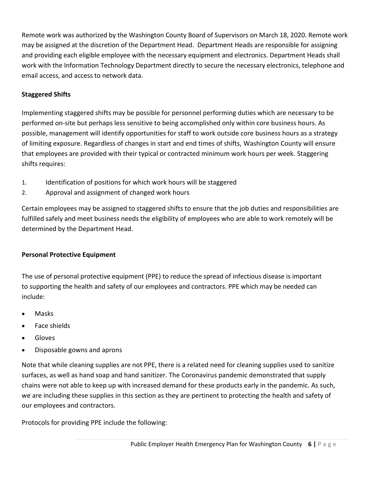Remote work was authorized by the Washington County Board of Supervisors on March 18, 2020. Remote work may be assigned at the discretion of the Department Head. Department Heads are responsible for assigning and providing each eligible employee with the necessary equipment and electronics. Department Heads shall work with the Information Technology Department directly to secure the necessary electronics, telephone and email access, and access to network data.

## **Staggered Shifts**

Implementing staggered shifts may be possible for personnel performing duties which are necessary to be performed on-site but perhaps less sensitive to being accomplished only within core business hours. As possible, management will identify opportunities for staff to work outside core business hours as a strategy of limiting exposure. Regardless of changes in start and end times of shifts, Washington County will ensure that employees are provided with their typical or contracted minimum work hours per week. Staggering shifts requires:

- 1. Identification of positions for which work hours will be staggered
- 2. Approval and assignment of changed work hours

Certain employees may be assigned to staggered shifts to ensure that the job duties and responsibilities are fulfilled safely and meet business needs the eligibility of employees who are able to work remotely will be determined by the Department Head.

## **Personal Protective Equipment**

The use of personal protective equipment (PPE) to reduce the spread of infectious disease is important to supporting the health and safety of our employees and contractors. PPE which may be needed can include:

- Masks
- Face shields
- Gloves
- Disposable gowns and aprons

Note that while cleaning supplies are not PPE, there is a related need for cleaning supplies used to sanitize surfaces, as well as hand soap and hand sanitizer. The Coronavirus pandemic demonstrated that supply chains were not able to keep up with increased demand for these products early in the pandemic. As such, we are including these supplies in this section as they are pertinent to protecting the health and safety of our employees and contractors.

Protocols for providing PPE include the following: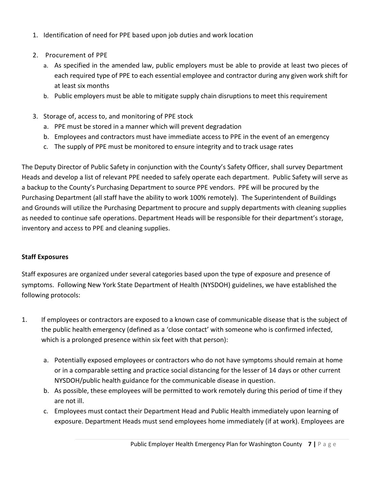- 1. Identification of need for PPE based upon job duties and work location
- 2. Procurement of PPE
	- a. As specified in the amended law, public employers must be able to provide at least two pieces of each required type of PPE to each essential employee and contractor during any given work shift for at least six months
	- b. Public employers must be able to mitigate supply chain disruptions to meet this requirement
- 3. Storage of, access to, and monitoring of PPE stock
	- a. PPE must be stored in a manner which will prevent degradation
	- b. Employees and contractors must have immediate access to PPE in the event of an emergency
	- c. The supply of PPE must be monitored to ensure integrity and to track usage rates

The Deputy Director of Public Safety in conjunction with the County's Safety Officer, shall survey Department Heads and develop a list of relevant PPE needed to safely operate each department. Public Safety will serve as a backup to the County's Purchasing Department to source PPE vendors. PPE will be procured by the Purchasing Department (all staff have the ability to work 100% remotely). The Superintendent of Buildings and Grounds will utilize the Purchasing Department to procure and supply departments with cleaning supplies as needed to continue safe operations. Department Heads will be responsible for their department's storage, inventory and access to PPE and cleaning supplies.

## **Staff Exposures**

Staff exposures are organized under several categories based upon the type of exposure and presence of symptoms. Following New York State Department of Health (NYSDOH) guidelines, we have established the following protocols:

- 1. If employees or contractors are exposed to a known case of communicable disease that is the subject of the public health emergency (defined as a 'close contact' with someone who is confirmed infected, which is a prolonged presence within six feet with that person):
	- a. Potentially exposed employees or contractors who do not have symptoms should remain at home or in a comparable setting and practice social distancing for the lesser of 14 days or other current NYSDOH/public health guidance for the communicable disease in question.
	- b. As possible, these employees will be permitted to work remotely during this period of time if they are not ill.
	- c. Employees must contact their Department Head and Public Health immediately upon learning of exposure. Department Heads must send employees home immediately (if at work). Employees are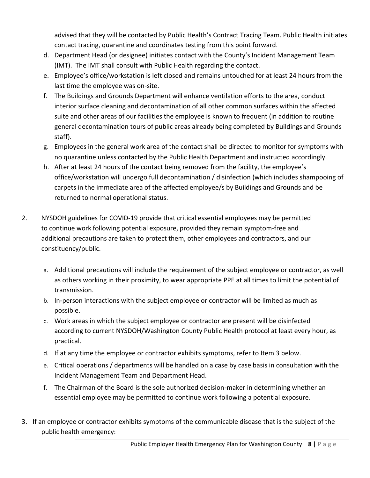advised that they will be contacted by Public Health's Contract Tracing Team. Public Health initiates contact tracing, quarantine and coordinates testing from this point forward.

- d. Department Head (or designee) initiates contact with the County's Incident Management Team (IMT). The IMT shall consult with Public Health regarding the contact.
- e. Employee's office/workstation is left closed and remains untouched for at least 24 hours from the last time the employee was on-site.
- f. The Buildings and Grounds Department will enhance ventilation efforts to the area, conduct interior surface cleaning and decontamination of all other common surfaces within the affected suite and other areas of our facilities the employee is known to frequent (in addition to routine general decontamination tours of public areas already being completed by Buildings and Grounds staff).
- g. Employees in the general work area of the contact shall be directed to monitor for symptoms with no quarantine unless contacted by the Public Health Department and instructed accordingly.
- h. After at least 24 hours of the contact being removed from the facility, the employee's office/workstation will undergo full decontamination / disinfection (which includes shampooing of carpets in the immediate area of the affected employee/s by Buildings and Grounds and be returned to normal operational status.
- 2. NYSDOH guidelines for COVID-19 provide that critical essential employees may be permitted to continue work following potential exposure, provided they remain symptom-free and additional precautions are taken to protect them, other employees and contractors, and our constituency/public.
	- a. Additional precautions will include the requirement of the subject employee or contractor, as well as others working in their proximity, to wear appropriate PPE at all times to limit the potential of transmission.
	- b. In-person interactions with the subject employee or contractor will be limited as much as possible.
	- c. Work areas in which the subject employee or contractor are present will be disinfected according to current NYSDOH/Washington County Public Health protocol at least every hour, as practical.
	- d. If at any time the employee or contractor exhibits symptoms, refer to Item 3 below.
	- e. Critical operations / departments will be handled on a case by case basis in consultation with the Incident Management Team and Department Head.
	- f. The Chairman of the Board is the sole authorized decision-maker in determining whether an essential employee may be permitted to continue work following a potential exposure.
- 3. If an employee or contractor exhibits symptoms of the communicable disease that is the subject of the public health emergency: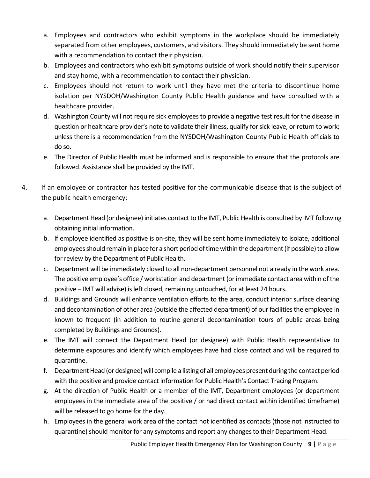- a. Employees and contractors who exhibit symptoms in the workplace should be immediately separated from other employees, customers, and visitors. They should immediately be sent home with a recommendation to contact their physician.
- b. Employees and contractors who exhibit symptoms outside of work should notify their supervisor and stay home, with a recommendation to contact their physician.
- c. Employees should not return to work until they have met the criteria to discontinue home isolation per NYSDOH/Washington County Public Health guidance and have consulted with a healthcare provider.
- d. Washington County will not require sick employees to provide a negative test result for the disease in question or healthcare provider's note to validate their illness, qualify for sick leave, or return to work; unless there is a recommendation from the NYSDOH/Washington County Public Health officials to do so.
- e. The Director of Public Health must be informed and is responsible to ensure that the protocols are followed. Assistance shall be provided by the IMT.
- 4. If an employee or contractor has tested positive for the communicable disease that is the subject of the public health emergency:
	- a. Department Head (or designee) initiates contact to the IMT, Public Health is consulted by IMT following obtaining initial information.
	- b. If employee identified as positive is on-site, they will be sent home immediately to isolate, additional employees should remain in place for a short period of time within the department (if possible) to allow for review by the Department of Public Health.
	- c. Department will be immediately closed to all non-department personnel not already in the work area. The positive employee's office / workstation and department (or immediate contact area within of the positive – IMT will advise) is left closed, remaining untouched, for at least 24 hours.
	- d. Buildings and Grounds will enhance ventilation efforts to the area, conduct interior surface cleaning and decontamination of other area (outside the affected department) of our facilities the employee in known to frequent (in addition to routine general decontamination tours of public areas being completed by Buildings and Grounds).
	- e. The IMT will connect the Department Head (or designee) with Public Health representative to determine exposures and identify which employees have had close contact and will be required to quarantine.
	- f. Department Head (or designee) will compile a listing of all employees present during the contact period with the positive and provide contact information for Public Health's Contact Tracing Program.
	- g. At the direction of Public Health or a member of the IMT, Department employees (or department employees in the immediate area of the positive / or had direct contact within identified timeframe) will be released to go home for the day.
	- h. Employees in the general work area of the contact not identified as contacts (those not instructed to quarantine) should monitor for any symptoms and report any changes to their Department Head.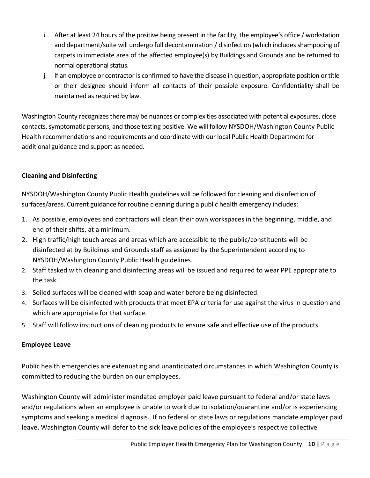- i. After at least 24 hours of the positive being present in the facility, the employee's office / workstation and department/suite will undergo full decontamination / disinfection (which includes shampooing of carpets in immediate area of the affected employee(s) by Buildings and Grounds and be returned to normal operational status.
- j. If an employee or contractor is confirmed to have the disease in question, appropriate position or title or their designee should inform all contacts of their possible exposure. Confidentiality shall be maintained as required by law.

Washington County recognizes there may be nuances or complexities associated with potential exposures, close contacts, symptomatic persons, and those testing positive. We will follow NYSDOH/Washington County Public Health recommendations and requirements and coordinate with our local Public Health Department for additional guidance and support as needed.

## **Cleaning and Disinfecting**

NYSDOH/Washington County Public Health guidelines will be followed for cleaning and disinfection of surfaces/areas. Current guidance for routine cleaning during a public health emergency includes:

- 1. As possible, employees and contractors will clean their own workspaces in the beginning, middle, and end of their shifts, at a minimum.
- 2. High traffic/high touch areas and areas which are accessible to the public/constituents will be disinfected at by Buildings and Grounds staff as assigned by the Superintendent according to NYSDOH/Washington County Public Health guidelines.
- 2. Staff tasked with cleaning and disinfecting areas will be issued and required to wear PPE appropriate to the task.
- 3. Soiled surfaces will be cleaned with soap and water before being disinfected.
- 4. Surfaces will be disinfected with products that meet EPA criteria for use against the virus in question and which are appropriate for that surface.
- 5. Staff will follow instructions of cleaning products to ensure safe and effective use of the products.

## **Employee Leave**

Public health emergencies are extenuating and unanticipated circumstances in which Washington County is committed to reducing the burden on our employees.

Washington County will administer mandated employer paid leave pursuant to federal and/or state laws and/or regulations when an employee is unable to work due to isolation/quarantine and/or is experiencing symptoms and seeking a medical diagnosis. If no federal or state laws or regulations mandate employer paid leave, Washington County will defer to the sick leave policies of the employee's respective collective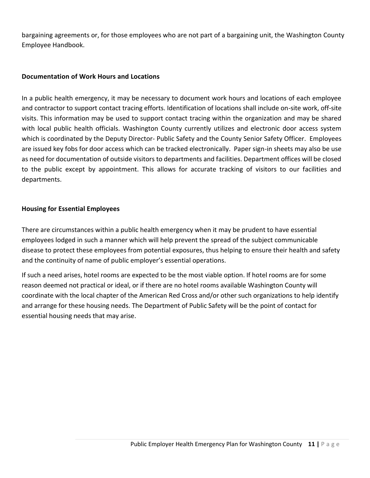bargaining agreements or, for those employees who are not part of a bargaining unit, the Washington County Employee Handbook.

### **Documentation of Work Hours and Locations**

In a public health emergency, it may be necessary to document work hours and locations of each employee and contractor to support contact tracing efforts. Identification of locations shall include on-site work, off-site visits. This information may be used to support contact tracing within the organization and may be shared with local public health officials. Washington County currently utilizes and electronic door access system which is coordinated by the Deputy Director- Public Safety and the County Senior Safety Officer. Employees are issued key fobs for door access which can be tracked electronically. Paper sign-in sheets may also be use as need for documentation of outside visitors to departments and facilities. Department offices will be closed to the public except by appointment. This allows for accurate tracking of visitors to our facilities and departments.

### **Housing for Essential Employees**

There are circumstances within a public health emergency when it may be prudent to have essential employees lodged in such a manner which will help prevent the spread of the subject communicable disease to protect these employees from potential exposures, thus helping to ensure their health and safety and the continuity of name of public employer's essential operations.

If such a need arises, hotel rooms are expected to be the most viable option. If hotel rooms are for some reason deemed not practical or ideal, or if there are no hotel rooms available Washington County will coordinate with the local chapter of the American Red Cross and/or other such organizations to help identify and arrange for these housing needs. The Department of Public Safety will be the point of contact for essential housing needs that may arise.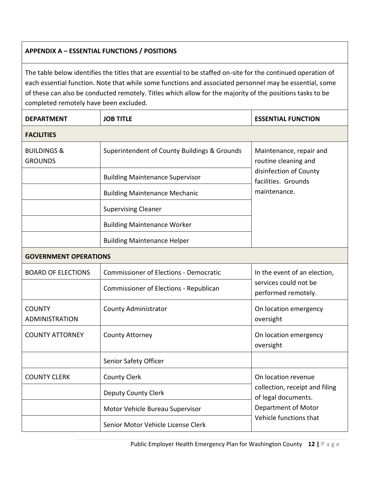# **APPENDIX A – ESSENTIAL FUNCTIONS / POSITIONS**

The table below identifies the titles that are essential to be staffed on-site for the continued operation of each essential function. Note that while some functions and associated personnel may be essential, some of these can also be conducted remotely. Titles which allow for the majority of the positions tasks to be completed remotely have been excluded.

| <b>DEPARTMENT</b>                        | <b>JOB TITLE</b>                              | <b>ESSENTIAL FUNCTION</b>                                                                                                     |  |
|------------------------------------------|-----------------------------------------------|-------------------------------------------------------------------------------------------------------------------------------|--|
| <b>FACILITIES</b>                        |                                               |                                                                                                                               |  |
| <b>BUILDINGS &amp;</b><br><b>GROUNDS</b> | Superintendent of County Buildings & Grounds  | Maintenance, repair and<br>routine cleaning and<br>disinfection of County<br>facilities. Grounds                              |  |
|                                          | <b>Building Maintenance Supervisor</b>        |                                                                                                                               |  |
|                                          | <b>Building Maintenance Mechanic</b>          | maintenance.                                                                                                                  |  |
|                                          | <b>Supervising Cleaner</b>                    |                                                                                                                               |  |
|                                          | <b>Building Maintenance Worker</b>            |                                                                                                                               |  |
|                                          | <b>Building Maintenance Helper</b>            |                                                                                                                               |  |
| <b>GOVERNMENT OPERATIONS</b>             |                                               |                                                                                                                               |  |
| <b>BOARD OF ELECTIONS</b>                | <b>Commissioner of Elections - Democratic</b> | In the event of an election,                                                                                                  |  |
|                                          | Commissioner of Elections - Republican        | services could not be<br>performed remotely.                                                                                  |  |
| <b>COUNTY</b><br><b>ADMINISTRATION</b>   | <b>County Administrator</b>                   | On location emergency<br>oversight                                                                                            |  |
| <b>COUNTY ATTORNEY</b>                   | <b>County Attorney</b>                        | On location emergency<br>oversight                                                                                            |  |
|                                          | Senior Safety Officer                         |                                                                                                                               |  |
| <b>COUNTY CLERK</b>                      | <b>County Clerk</b>                           | On location revenue<br>collection, receipt and filing<br>of legal documents.<br>Department of Motor<br>Vehicle functions that |  |
|                                          | <b>Deputy County Clerk</b>                    |                                                                                                                               |  |
|                                          | Motor Vehicle Bureau Supervisor               |                                                                                                                               |  |
|                                          | Senior Motor Vehicle License Clerk            |                                                                                                                               |  |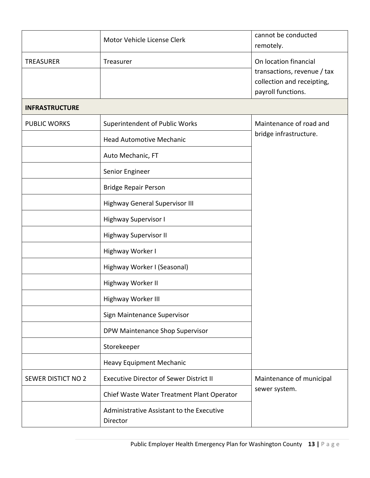|                       | Motor Vehicle License Clerk                           | cannot be conducted<br>remotely.                                                                         |
|-----------------------|-------------------------------------------------------|----------------------------------------------------------------------------------------------------------|
| <b>TREASURER</b>      | Treasurer                                             | On location financial<br>transactions, revenue / tax<br>collection and receipting,<br>payroll functions. |
| <b>INFRASTRUCTURE</b> |                                                       |                                                                                                          |
| <b>PUBLIC WORKS</b>   | Superintendent of Public Works                        | Maintenance of road and                                                                                  |
|                       | <b>Head Automotive Mechanic</b>                       | bridge infrastructure.                                                                                   |
|                       | Auto Mechanic, FT                                     |                                                                                                          |
|                       | Senior Engineer                                       |                                                                                                          |
|                       | <b>Bridge Repair Person</b>                           |                                                                                                          |
|                       | <b>Highway General Supervisor III</b>                 |                                                                                                          |
|                       | Highway Supervisor I                                  |                                                                                                          |
|                       | <b>Highway Supervisor II</b>                          |                                                                                                          |
|                       | Highway Worker I                                      |                                                                                                          |
|                       | Highway Worker I (Seasonal)                           |                                                                                                          |
|                       | Highway Worker II                                     |                                                                                                          |
|                       | Highway Worker III                                    |                                                                                                          |
|                       | Sign Maintenance Supervisor                           |                                                                                                          |
|                       | DPW Maintenance Shop Supervisor                       |                                                                                                          |
|                       | Storekeeper                                           |                                                                                                          |
|                       | <b>Heavy Equipment Mechanic</b>                       |                                                                                                          |
| SEWER DISTICT NO 2    | <b>Executive Director of Sewer District II</b>        | Maintenance of municipal<br>sewer system.                                                                |
|                       | Chief Waste Water Treatment Plant Operator            |                                                                                                          |
|                       | Administrative Assistant to the Executive<br>Director |                                                                                                          |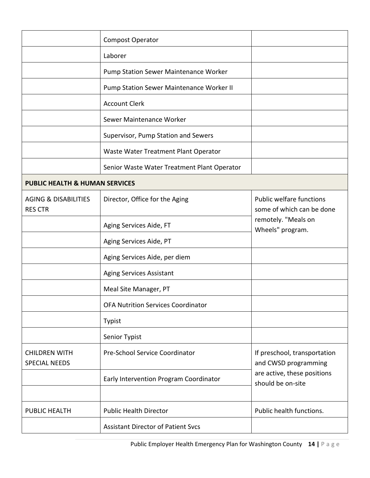|                                                   | <b>Compost Operator</b>                      |                                                                                                          |
|---------------------------------------------------|----------------------------------------------|----------------------------------------------------------------------------------------------------------|
|                                                   | Laborer                                      |                                                                                                          |
|                                                   | <b>Pump Station Sewer Maintenance Worker</b> |                                                                                                          |
|                                                   | Pump Station Sewer Maintenance Worker II     |                                                                                                          |
|                                                   | <b>Account Clerk</b>                         |                                                                                                          |
|                                                   | Sewer Maintenance Worker                     |                                                                                                          |
|                                                   | Supervisor, Pump Station and Sewers          |                                                                                                          |
|                                                   | Waste Water Treatment Plant Operator         |                                                                                                          |
|                                                   | Senior Waste Water Treatment Plant Operator  |                                                                                                          |
| <b>PUBLIC HEALTH &amp; HUMAN SERVICES</b>         |                                              |                                                                                                          |
| <b>AGING &amp; DISABILITIES</b><br><b>RES CTR</b> | Director, Office for the Aging               | Public welfare functions<br>some of which can be done                                                    |
|                                                   | Aging Services Aide, FT                      | remotely. "Meals on<br>Wheels" program.                                                                  |
|                                                   | Aging Services Aide, PT                      |                                                                                                          |
|                                                   | Aging Services Aide, per diem                |                                                                                                          |
|                                                   | <b>Aging Services Assistant</b>              |                                                                                                          |
|                                                   | Meal Site Manager, PT                        |                                                                                                          |
|                                                   | <b>OFA Nutrition Services Coordinator</b>    |                                                                                                          |
|                                                   | <b>Typist</b>                                |                                                                                                          |
|                                                   | Senior Typist                                |                                                                                                          |
| <b>CHILDREN WITH</b><br><b>SPECIAL NEEDS</b>      | Pre-School Service Coordinator               | If preschool, transportation<br>and CWSD programming<br>are active, these positions<br>should be on-site |
|                                                   | Early Intervention Program Coordinator       |                                                                                                          |
| PUBLIC HEALTH                                     | <b>Public Health Director</b>                | Public health functions.                                                                                 |
|                                                   | <b>Assistant Director of Patient Svcs</b>    |                                                                                                          |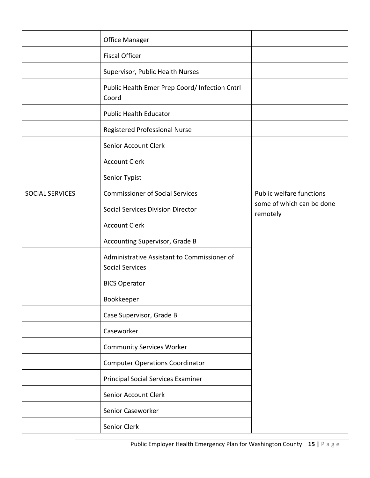|                 | <b>Office Manager</b>                                                 |                                       |
|-----------------|-----------------------------------------------------------------------|---------------------------------------|
|                 | <b>Fiscal Officer</b>                                                 |                                       |
|                 | Supervisor, Public Health Nurses                                      |                                       |
|                 | Public Health Emer Prep Coord/ Infection Cntrl<br>Coord               |                                       |
|                 | <b>Public Health Educator</b>                                         |                                       |
|                 | Registered Professional Nurse                                         |                                       |
|                 | Senior Account Clerk                                                  |                                       |
|                 | <b>Account Clerk</b>                                                  |                                       |
|                 | Senior Typist                                                         |                                       |
| SOCIAL SERVICES | <b>Commissioner of Social Services</b>                                | <b>Public welfare functions</b>       |
|                 | <b>Social Services Division Director</b>                              | some of which can be done<br>remotely |
|                 | <b>Account Clerk</b>                                                  |                                       |
|                 | Accounting Supervisor, Grade B                                        |                                       |
|                 | Administrative Assistant to Commissioner of<br><b>Social Services</b> |                                       |
|                 | <b>BICS Operator</b>                                                  |                                       |
|                 | Bookkeeper                                                            |                                       |
|                 | Case Supervisor, Grade B                                              |                                       |
|                 | Caseworker                                                            |                                       |
|                 | <b>Community Services Worker</b>                                      |                                       |
|                 | <b>Computer Operations Coordinator</b>                                |                                       |
|                 | <b>Principal Social Services Examiner</b>                             |                                       |
|                 | Senior Account Clerk                                                  |                                       |
|                 | Senior Caseworker                                                     |                                       |
|                 | Senior Clerk                                                          |                                       |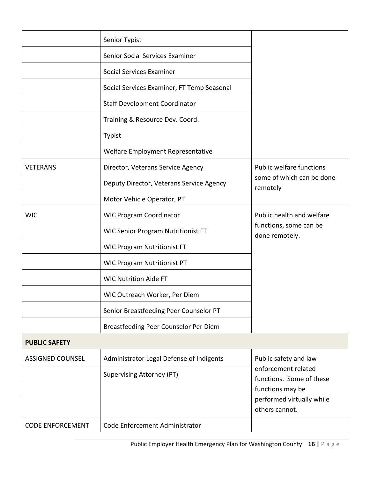|                         | Senior Typist                              |                                                                       |
|-------------------------|--------------------------------------------|-----------------------------------------------------------------------|
|                         | Senior Social Services Examiner            |                                                                       |
|                         | Social Services Examiner                   |                                                                       |
|                         | Social Services Examiner, FT Temp Seasonal |                                                                       |
|                         | <b>Staff Development Coordinator</b>       |                                                                       |
|                         | Training & Resource Dev. Coord.            |                                                                       |
|                         | Typist                                     |                                                                       |
|                         | Welfare Employment Representative          |                                                                       |
| <b>VETERANS</b>         | Director, Veterans Service Agency          | <b>Public welfare functions</b>                                       |
|                         | Deputy Director, Veterans Service Agency   | some of which can be done<br>remotely                                 |
|                         | Motor Vehicle Operator, PT                 |                                                                       |
| <b>WIC</b>              | <b>WIC Program Coordinator</b>             | Public health and welfare<br>functions, some can be<br>done remotely. |
|                         | <b>WIC Senior Program Nutritionist FT</b>  |                                                                       |
|                         | <b>WIC Program Nutritionist FT</b>         |                                                                       |
|                         | <b>WIC Program Nutritionist PT</b>         |                                                                       |
|                         | <b>WIC Nutrition Aide FT</b>               |                                                                       |
|                         | WIC Outreach Worker, Per Diem              |                                                                       |
|                         | Senior Breastfeeding Peer Counselor PT     |                                                                       |
|                         | Breastfeeding Peer Counselor Per Diem      |                                                                       |
| <b>PUBLIC SAFETY</b>    |                                            |                                                                       |
| <b>ASSIGNED COUNSEL</b> | Administrator Legal Defense of Indigents   | Public safety and law                                                 |
|                         | Supervising Attorney (PT)                  | enforcement related<br>functions. Some of these                       |
|                         |                                            | functions may be                                                      |
|                         |                                            | performed virtually while<br>others cannot.                           |
| <b>CODE ENFORCEMENT</b> | Code Enforcement Administrator             |                                                                       |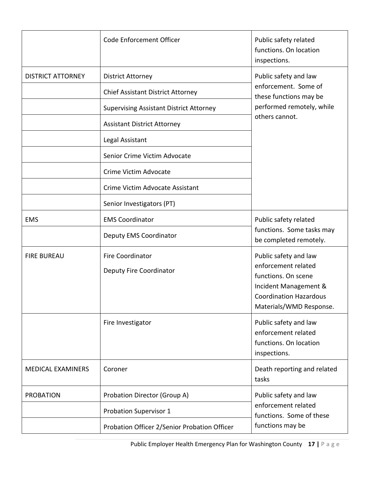|                          | Code Enforcement Officer                       | Public safety related<br>functions. On location<br>inspections.                              |
|--------------------------|------------------------------------------------|----------------------------------------------------------------------------------------------|
| <b>DISTRICT ATTORNEY</b> | <b>District Attorney</b>                       | Public safety and law                                                                        |
|                          | <b>Chief Assistant District Attorney</b>       | enforcement. Some of<br>these functions may be                                               |
|                          | <b>Supervising Assistant District Attorney</b> | performed remotely, while                                                                    |
|                          | <b>Assistant District Attorney</b>             | others cannot.                                                                               |
|                          | Legal Assistant                                |                                                                                              |
|                          | Senior Crime Victim Advocate                   |                                                                                              |
|                          | Crime Victim Advocate                          |                                                                                              |
|                          | Crime Victim Advocate Assistant                |                                                                                              |
|                          | Senior Investigators (PT)                      |                                                                                              |
| <b>EMS</b>               | <b>EMS Coordinator</b>                         | Public safety related                                                                        |
|                          | <b>Deputy EMS Coordinator</b>                  | functions. Some tasks may<br>be completed remotely.                                          |
| <b>FIRE BUREAU</b>       | <b>Fire Coordinator</b>                        | Public safety and law                                                                        |
|                          | Deputy Fire Coordinator                        | enforcement related<br>functions. On scene                                                   |
|                          |                                                | Incident Management &<br><b>Coordination Hazardous</b>                                       |
|                          |                                                | Materials/WMD Response.                                                                      |
|                          | Fire Investigator                              | Public safety and law                                                                        |
|                          |                                                | enforcement related<br>functions. On location                                                |
|                          |                                                | inspections.                                                                                 |
| <b>MEDICAL EXAMINERS</b> | Coroner                                        | Death reporting and related<br>tasks                                                         |
| <b>PROBATION</b>         | Probation Director (Group A)                   | Public safety and law<br>enforcement related<br>functions. Some of these<br>functions may be |
|                          | <b>Probation Supervisor 1</b>                  |                                                                                              |
|                          | Probation Officer 2/Senior Probation Officer   |                                                                                              |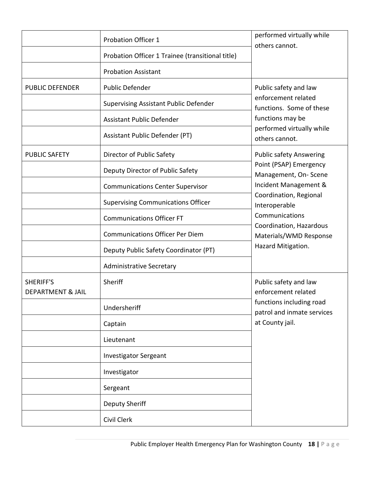|                                                  | <b>Probation Officer 1</b>                       | performed virtually while<br>others cannot.                                                                               |
|--------------------------------------------------|--------------------------------------------------|---------------------------------------------------------------------------------------------------------------------------|
|                                                  | Probation Officer 1 Trainee (transitional title) |                                                                                                                           |
|                                                  | <b>Probation Assistant</b>                       |                                                                                                                           |
| <b>PUBLIC DEFENDER</b>                           | <b>Public Defender</b>                           | Public safety and law                                                                                                     |
|                                                  | <b>Supervising Assistant Public Defender</b>     | enforcement related<br>functions. Some of these                                                                           |
|                                                  | <b>Assistant Public Defender</b>                 | functions may be                                                                                                          |
|                                                  | Assistant Public Defender (PT)                   | performed virtually while<br>others cannot.                                                                               |
| <b>PUBLIC SAFETY</b>                             | Director of Public Safety                        | <b>Public safety Answering</b>                                                                                            |
|                                                  | Deputy Director of Public Safety                 | Point (PSAP) Emergency<br>Management, On-Scene                                                                            |
|                                                  | <b>Communications Center Supervisor</b>          | Incident Management &                                                                                                     |
|                                                  | <b>Supervising Communications Officer</b>        | Coordination, Regional<br>Interoperable                                                                                   |
|                                                  | <b>Communications Officer FT</b>                 | Communications                                                                                                            |
|                                                  | <b>Communications Officer Per Diem</b>           | Coordination, Hazardous<br>Materials/WMD Response                                                                         |
|                                                  | Deputy Public Safety Coordinator (PT)            | Hazard Mitigation.                                                                                                        |
|                                                  | <b>Administrative Secretary</b>                  |                                                                                                                           |
| <b>SHERIFF'S</b><br><b>DEPARTMENT &amp; JAIL</b> | Sheriff                                          | Public safety and law<br>enforcement related<br>functions including road<br>patrol and inmate services<br>at County jail. |
|                                                  | Undersheriff                                     |                                                                                                                           |
|                                                  | Captain                                          |                                                                                                                           |
|                                                  | Lieutenant                                       |                                                                                                                           |
|                                                  | <b>Investigator Sergeant</b>                     |                                                                                                                           |
|                                                  | Investigator                                     |                                                                                                                           |
|                                                  | Sergeant                                         |                                                                                                                           |
|                                                  | <b>Deputy Sheriff</b>                            |                                                                                                                           |
|                                                  | Civil Clerk                                      |                                                                                                                           |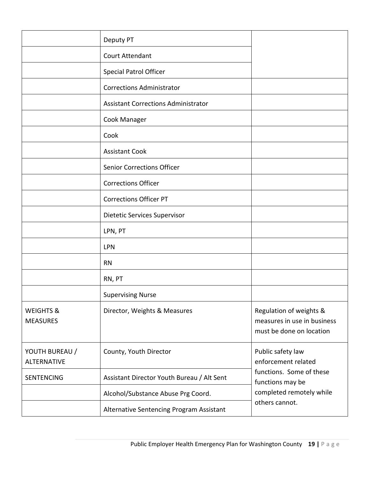|                                         | Deputy PT                                  |                                                                                    |
|-----------------------------------------|--------------------------------------------|------------------------------------------------------------------------------------|
|                                         | <b>Court Attendant</b>                     |                                                                                    |
|                                         | <b>Special Patrol Officer</b>              |                                                                                    |
|                                         | <b>Corrections Administrator</b>           |                                                                                    |
|                                         | <b>Assistant Corrections Administrator</b> |                                                                                    |
|                                         | Cook Manager                               |                                                                                    |
|                                         | Cook                                       |                                                                                    |
|                                         | <b>Assistant Cook</b>                      |                                                                                    |
|                                         | <b>Senior Corrections Officer</b>          |                                                                                    |
|                                         | <b>Corrections Officer</b>                 |                                                                                    |
|                                         | <b>Corrections Officer PT</b>              |                                                                                    |
|                                         | Dietetic Services Supervisor               |                                                                                    |
|                                         | LPN, PT                                    |                                                                                    |
|                                         | LPN                                        |                                                                                    |
|                                         | <b>RN</b>                                  |                                                                                    |
|                                         | RN, PT                                     |                                                                                    |
|                                         | <b>Supervising Nurse</b>                   |                                                                                    |
| <b>WEIGHTS &amp;</b><br><b>MEASURES</b> | Director, Weights & Measures               | Regulation of weights &<br>measures in use in business<br>must be done on location |
| YOUTH BUREAU /<br><b>ALTERNATIVE</b>    | County, Youth Director                     | Public safety law<br>enforcement related                                           |
| <b>SENTENCING</b>                       | Assistant Director Youth Bureau / Alt Sent | functions. Some of these<br>functions may be                                       |
|                                         | Alcohol/Substance Abuse Prg Coord.         | completed remotely while                                                           |
|                                         | Alternative Sentencing Program Assistant   | others cannot.                                                                     |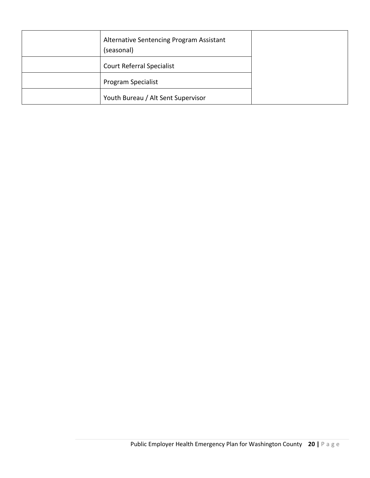| Alternative Sentencing Program Assistant<br>(seasonal) |  |
|--------------------------------------------------------|--|
| <b>Court Referral Specialist</b>                       |  |
| Program Specialist                                     |  |
| Youth Bureau / Alt Sent Supervisor                     |  |